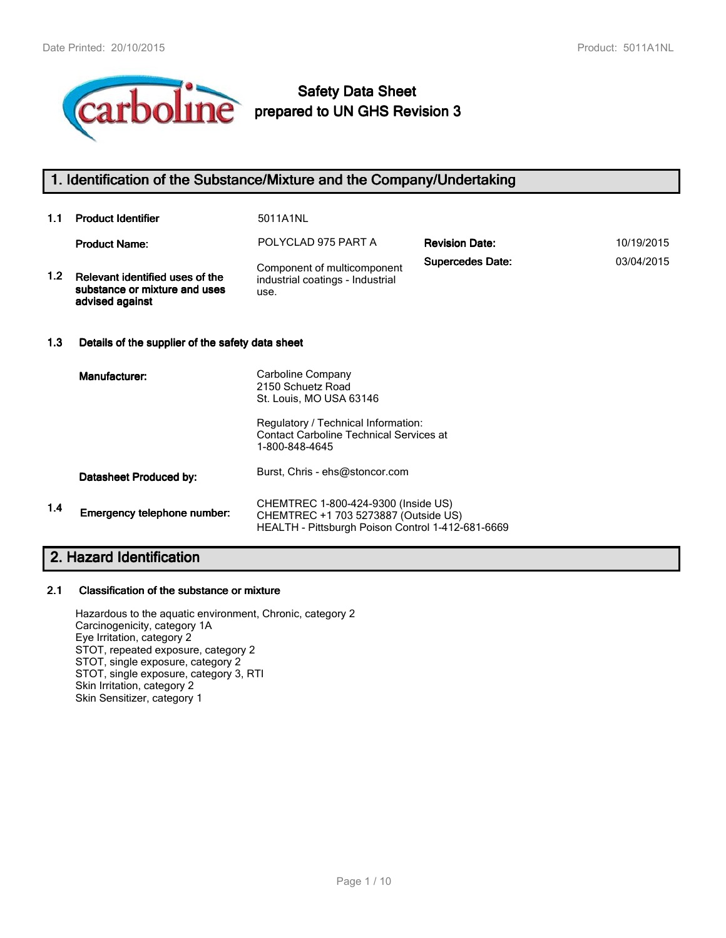

# **Safety Data Sheet prepared to UN GHS Revision 3**

## **1. Identification of the Substance/Mixture and the Company/Undertaking**

| 1.1     | <b>Product Identifier</b>                                                           | 5011A1NL                                                                |                         |            |
|---------|-------------------------------------------------------------------------------------|-------------------------------------------------------------------------|-------------------------|------------|
|         | <b>Product Name:</b>                                                                | POLYCLAD 975 PART A                                                     | <b>Revision Date:</b>   | 10/19/2015 |
| $1.2\,$ | Relevant identified uses of the<br>substance or mixture and uses<br>advised against | Component of multicomponent<br>industrial coatings - Industrial<br>use. | <b>Supercedes Date:</b> | 03/04/2015 |

### **1.3 Details of the supplier of the safety data sheet**

|     | Manufacturer:               | Carboline Company<br>2150 Schuetz Road<br>St. Louis, MO USA 63146                                                                |
|-----|-----------------------------|----------------------------------------------------------------------------------------------------------------------------------|
|     |                             | Regulatory / Technical Information:<br><b>Contact Carboline Technical Services at</b><br>1-800-848-4645                          |
|     | Datasheet Produced by:      | Burst, Chris - ehs@stoncor.com                                                                                                   |
| 1.4 | Emergency telephone number: | CHEMTREC 1-800-424-9300 (Inside US)<br>CHEMTREC +1 703 5273887 (Outside US)<br>HEALTH - Pittsburgh Poison Control 1-412-681-6669 |

## **2. Hazard Identification**

#### **2.1 Classification of the substance or mixture**

Hazardous to the aquatic environment, Chronic, category 2 Carcinogenicity, category 1A Eye Irritation, category 2 STOT, repeated exposure, category 2 STOT, single exposure, category 2 STOT, single exposure, category 3, RTI Skin Irritation, category 2 Skin Sensitizer, category 1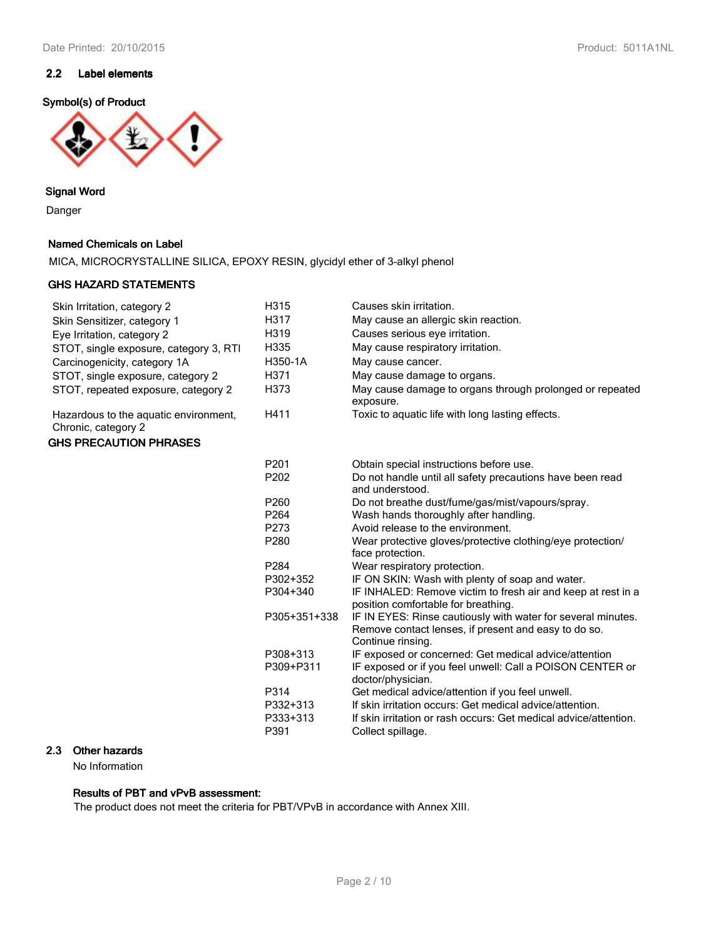## **2.2 Label elements**

## **Symbol(s) of Product**



**Signal Word**

Danger

## **Named Chemicals on Label**

MICA, MICROCRYSTALLINE SILICA, EPOXY RESIN, glycidyl ether of 3-alkyl phenol

#### **GHS HAZARD STATEMENTS**

| Skin Irritation, category 2                                  | H315             | Causes skin irritation.                                                                                                                   |
|--------------------------------------------------------------|------------------|-------------------------------------------------------------------------------------------------------------------------------------------|
| Skin Sensitizer, category 1                                  | H317             | May cause an allergic skin reaction.                                                                                                      |
| Eye Irritation, category 2                                   | H319             | Causes serious eye irritation.                                                                                                            |
| STOT, single exposure, category 3, RTI                       | H335             | May cause respiratory irritation.                                                                                                         |
| Carcinogenicity, category 1A                                 | H350-1A          | May cause cancer.                                                                                                                         |
| STOT, single exposure, category 2                            | H371             | May cause damage to organs.                                                                                                               |
| STOT, repeated exposure, category 2                          | H373             | May cause damage to organs through prolonged or repeated<br>exposure.                                                                     |
| Hazardous to the aquatic environment,<br>Chronic, category 2 | H411             | Toxic to aquatic life with long lasting effects.                                                                                          |
| <b>GHS PRECAUTION PHRASES</b>                                |                  |                                                                                                                                           |
|                                                              | P201             | Obtain special instructions before use.                                                                                                   |
|                                                              | P <sub>202</sub> | Do not handle until all safety precautions have been read<br>and understood.                                                              |
|                                                              | P260             | Do not breathe dust/fume/gas/mist/vapours/spray.                                                                                          |
|                                                              | P <sub>264</sub> | Wash hands thoroughly after handling.                                                                                                     |
|                                                              | P273             | Avoid release to the environment.                                                                                                         |
|                                                              | P280             | Wear protective gloves/protective clothing/eye protection/<br>face protection.                                                            |
|                                                              | P284             | Wear respiratory protection.                                                                                                              |
|                                                              | P302+352         | IF ON SKIN: Wash with plenty of soap and water.                                                                                           |
|                                                              | P304+340         | IF INHALED: Remove victim to fresh air and keep at rest in a<br>position comfortable for breathing.                                       |
|                                                              | P305+351+338     | IF IN EYES: Rinse cautiously with water for several minutes.<br>Remove contact lenses, if present and easy to do so.<br>Continue rinsing. |
|                                                              | P308+313         | IF exposed or concerned: Get medical advice/attention                                                                                     |
|                                                              | P309+P311        | IF exposed or if you feel unwell: Call a POISON CENTER or<br>doctor/physician.                                                            |
|                                                              | P314             | Get medical advice/attention if you feel unwell.                                                                                          |
|                                                              | P332+313         | If skin irritation occurs: Get medical advice/attention.                                                                                  |
|                                                              | P333+313         | If skin irritation or rash occurs: Get medical advice/attention.                                                                          |
|                                                              | P391             | Collect spillage.                                                                                                                         |

## **2.3 Other hazards**

No Information

### **Results of PBT and vPvB assessment:**

The product does not meet the criteria for PBT/VPvB in accordance with Annex XIII.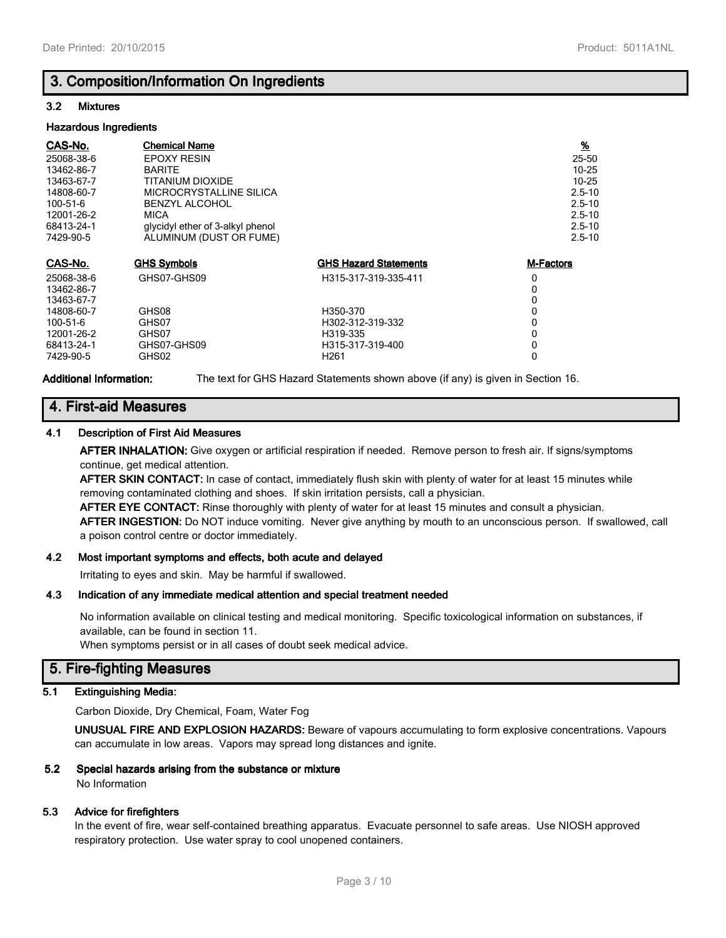## **3. Composition/Information On Ingredients**

#### **3.2 Mixtures**

#### **Hazardous Ingredients**

| CAS-No.    | <b>Chemical Name</b>             |                              | $\frac{9}{6}$    |
|------------|----------------------------------|------------------------------|------------------|
| 25068-38-6 | <b>EPOXY RESIN</b>               |                              | 25-50            |
| 13462-86-7 | <b>BARITE</b>                    |                              | $10 - 25$        |
| 13463-67-7 | TITANIUM DIOXIDE                 |                              | $10 - 25$        |
| 14808-60-7 | MICROCRYSTALLINE SILICA          |                              | $2.5 - 10$       |
| 100-51-6   | <b>BENZYL ALCOHOL</b>            |                              | $2.5 - 10$       |
| 12001-26-2 | <b>MICA</b>                      |                              | $2.5 - 10$       |
| 68413-24-1 | glycidyl ether of 3-alkyl phenol |                              | $2.5 - 10$       |
| 7429-90-5  | ALUMINUM (DUST OR FUME)          |                              | $2.5 - 10$       |
|            |                                  |                              |                  |
| CAS-No.    | <b>GHS Symbols</b>               | <b>GHS Hazard Statements</b> | <b>M-Factors</b> |
| 25068-38-6 | GHS07-GHS09                      | H315-317-319-335-411         | 0                |
| 13462-86-7 |                                  |                              | 0                |
| 13463-67-7 |                                  |                              | 0                |
| 14808-60-7 | GHS08                            | H350-370                     | 0                |
| 100-51-6   | GHS07                            | H302-312-319-332             | 0                |
| 12001-26-2 | GHS07                            | H319-335                     | 0                |
| 68413-24-1 | GHS07-GHS09                      | H315-317-319-400             | 0                |
| 7429-90-5  | GHS02                            | H <sub>261</sub>             | 0                |

**Additional Information:** The text for GHS Hazard Statements shown above (if any) is given in Section 16.

## **4. First-aid Measures**

### **4.1 Description of First Aid Measures**

**AFTER INHALATION:** Give oxygen or artificial respiration if needed. Remove person to fresh air. If signs/symptoms continue, get medical attention.

**AFTER SKIN CONTACT:** In case of contact, immediately flush skin with plenty of water for at least 15 minutes while removing contaminated clothing and shoes. If skin irritation persists, call a physician.

**AFTER EYE CONTACT:** Rinse thoroughly with plenty of water for at least 15 minutes and consult a physician. **AFTER INGESTION:** Do NOT induce vomiting. Never give anything by mouth to an unconscious person. If swallowed, call a poison control centre or doctor immediately.

### **4.2 Most important symptoms and effects, both acute and delayed**

Irritating to eyes and skin. May be harmful if swallowed.

### **4.3 Indication of any immediate medical attention and special treatment needed**

No information available on clinical testing and medical monitoring. Specific toxicological information on substances, if available, can be found in section 11.

When symptoms persist or in all cases of doubt seek medical advice.

## **5. Fire-fighting Measures**

## **5.1 Extinguishing Media:**

Carbon Dioxide, Dry Chemical, Foam, Water Fog

**UNUSUAL FIRE AND EXPLOSION HAZARDS:** Beware of vapours accumulating to form explosive concentrations. Vapours can accumulate in low areas. Vapors may spread long distances and ignite.

## **5.2 Special hazards arising from the substance or mixture**

No Information

### **5.3 Advice for firefighters**

In the event of fire, wear self-contained breathing apparatus. Evacuate personnel to safe areas. Use NIOSH approved respiratory protection. Use water spray to cool unopened containers.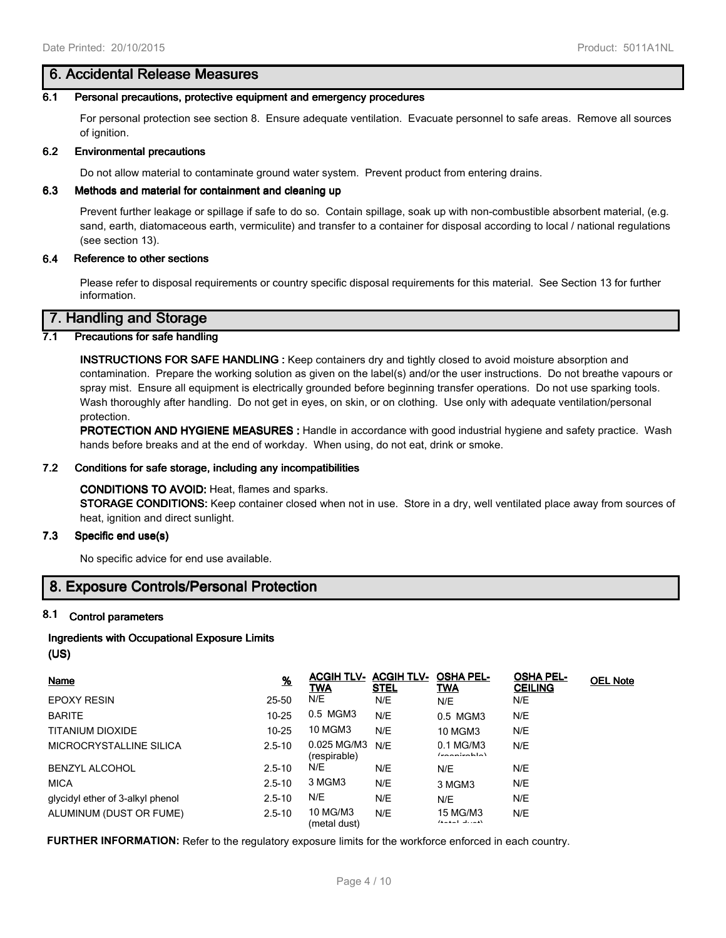## **6. Accidental Release Measures**

#### **6.1 Personal precautions, protective equipment and emergency procedures**

For personal protection see section 8. Ensure adequate ventilation. Evacuate personnel to safe areas. Remove all sources of ignition.

#### **6.2 Environmental precautions**

Do not allow material to contaminate ground water system. Prevent product from entering drains.

#### **6.3 Methods and material for containment and cleaning up**

Prevent further leakage or spillage if safe to do so. Contain spillage, soak up with non-combustible absorbent material, (e.g. sand, earth, diatomaceous earth, vermiculite) and transfer to a container for disposal according to local / national regulations (see section 13).

#### **6.4 Reference to other sections**

Please refer to disposal requirements or country specific disposal requirements for this material. See Section 13 for further information.

## **7. Handling and Storage**

### **7.1 Precautions for safe handling**

**INSTRUCTIONS FOR SAFE HANDLING :** Keep containers dry and tightly closed to avoid moisture absorption and contamination. Prepare the working solution as given on the label(s) and/or the user instructions. Do not breathe vapours or spray mist. Ensure all equipment is electrically grounded before beginning transfer operations. Do not use sparking tools. Wash thoroughly after handling. Do not get in eyes, on skin, or on clothing. Use only with adequate ventilation/personal protection.

**PROTECTION AND HYGIENE MEASURES :** Handle in accordance with good industrial hygiene and safety practice. Wash hands before breaks and at the end of workday. When using, do not eat, drink or smoke.

## **7.2 Conditions for safe storage, including any incompatibilities**

## **CONDITIONS TO AVOID:** Heat, flames and sparks.

**STORAGE CONDITIONS:** Keep container closed when not in use. Store in a dry, well ventilated place away from sources of heat, ignition and direct sunlight.

## **7.3 Specific end use(s)**

No specific advice for end use available.

## **8. Exposure Controls/Personal Protection**

## **8.1 Control parameters**

## **Ingredients with Occupational Exposure Limits**

**(US)**

| Name                             | $\frac{9}{6}$ | <b>ACGIH TLV-</b><br><b>TWA</b> | <b>ACGIH TLV-</b><br><b>STEL</b> | <b>OSHA PEL-</b><br>TWA           | <b>OSHA PEL-</b><br><b>CEILING</b> | <b>OEL Note</b> |
|----------------------------------|---------------|---------------------------------|----------------------------------|-----------------------------------|------------------------------------|-----------------|
| <b>EPOXY RESIN</b>               | 25-50         | N/E                             | N/E                              | N/E                               | N/E                                |                 |
| <b>BARITE</b>                    | $10 - 25$     | 0.5 MGM3                        | N/E                              | 0.5 MGM3                          | N/E                                |                 |
| TITANIUM DIOXIDE                 | $10 - 25$     | 10 MGM3                         | N/E                              | <b>10 MGM3</b>                    | N/E                                |                 |
| MICROCRYSTALLINE SILICA          | $2.5 - 10$    | 0.025 MG/M3<br>(respirable)     | N/F                              | 0.1 MG/M3<br>$1 - 2 - 1 - 1 = 1$  | N/E                                |                 |
| <b>BENZYL ALCOHOL</b>            | $2.5 - 10$    | N/E                             | N/E                              | N/E                               | N/E                                |                 |
| <b>MICA</b>                      | $2.5 - 10$    | 3 MGM3                          | N/E                              | 3 MGM3                            | N/E                                |                 |
| glycidyl ether of 3-alkyl phenol | $2.5 - 10$    | N/E                             | N/E                              | N/E                               | N/E                                |                 |
| ALUMINUM (DUST OR FUME)          | $2.5 - 10$    | 10 MG/M3<br>(metal dust)        | N/E                              | 15 MG/M3<br>$(1 - 1 - 1 - 1) - 1$ | N/E                                |                 |

**FURTHER INFORMATION:** Refer to the regulatory exposure limits for the workforce enforced in each country.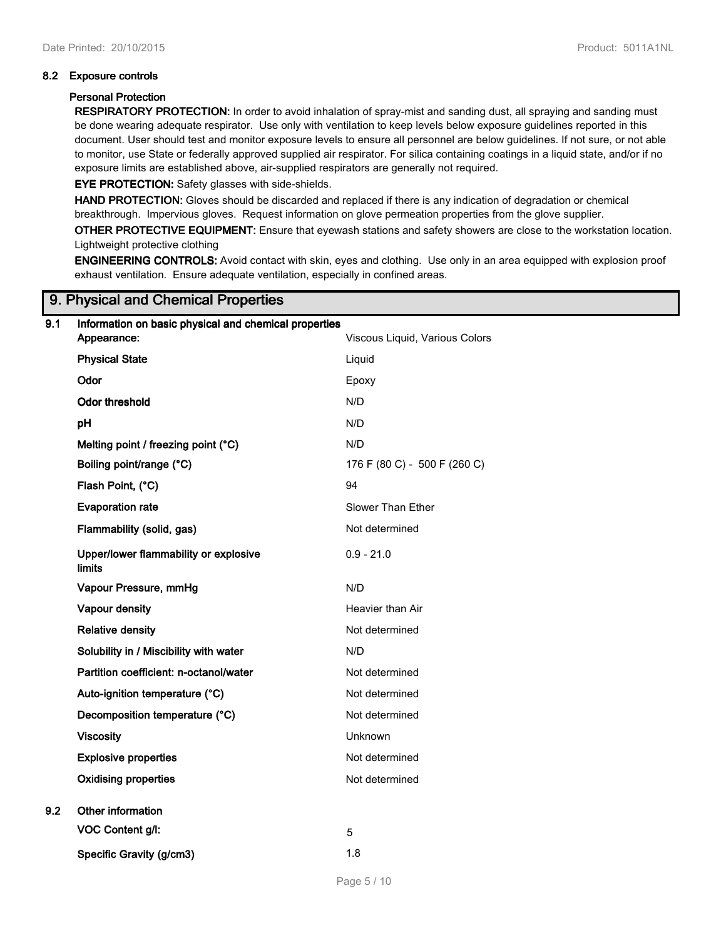### **8.2 Exposure controls**

### **Personal Protection**

**RESPIRATORY PROTECTION:** In order to avoid inhalation of spray-mist and sanding dust, all spraying and sanding must be done wearing adequate respirator. Use only with ventilation to keep levels below exposure guidelines reported in this document. User should test and monitor exposure levels to ensure all personnel are below guidelines. If not sure, or not able to monitor, use State or federally approved supplied air respirator. For silica containing coatings in a liquid state, and/or if no exposure limits are established above, air-supplied respirators are generally not required.

**EYE PROTECTION:** Safety glasses with side-shields.

**HAND PROTECTION:** Gloves should be discarded and replaced if there is any indication of degradation or chemical breakthrough. Impervious gloves. Request information on glove permeation properties from the glove supplier.

**OTHER PROTECTIVE EQUIPMENT:** Ensure that eyewash stations and safety showers are close to the workstation location. Lightweight protective clothing

**ENGINEERING CONTROLS:** Avoid contact with skin, eyes and clothing. Use only in an area equipped with explosion proof exhaust ventilation. Ensure adequate ventilation, especially in confined areas.

## **9. Physical and Chemical Properties**

| 9.1 | Information on basic physical and chemical properties<br>Appearance: | Viscous Liquid, Various Colors |
|-----|----------------------------------------------------------------------|--------------------------------|
|     |                                                                      |                                |
|     | <b>Physical State</b>                                                | Liquid                         |
|     | Odor                                                                 | Epoxy                          |
|     | <b>Odor threshold</b>                                                | N/D                            |
|     | pH                                                                   | N/D                            |
|     | Melting point / freezing point (°C)                                  | N/D                            |
|     | Boiling point/range (°C)                                             | 176 F (80 C) - 500 F (260 C)   |
|     | Flash Point, (°C)                                                    | 94                             |
|     | <b>Evaporation rate</b>                                              | Slower Than Ether              |
|     | Flammability (solid, gas)                                            | Not determined                 |
|     | Upper/lower flammability or explosive<br><b>limits</b>               | $0.9 - 21.0$                   |
|     | Vapour Pressure, mmHg                                                | N/D                            |
|     | Vapour density                                                       | Heavier than Air               |
|     | <b>Relative density</b>                                              | Not determined                 |
|     | Solubility in / Miscibility with water                               | N/D                            |
|     | Partition coefficient: n-octanol/water                               | Not determined                 |
|     | Auto-ignition temperature (°C)                                       | Not determined                 |
|     | Decomposition temperature (°C)                                       | Not determined                 |
|     | <b>Viscosity</b>                                                     | Unknown                        |
|     | <b>Explosive properties</b>                                          | Not determined                 |
|     | <b>Oxidising properties</b>                                          | Not determined                 |
| 9.2 | Other information                                                    |                                |
|     | VOC Content g/l:                                                     | 5                              |
|     | Specific Gravity (g/cm3)                                             | 1.8                            |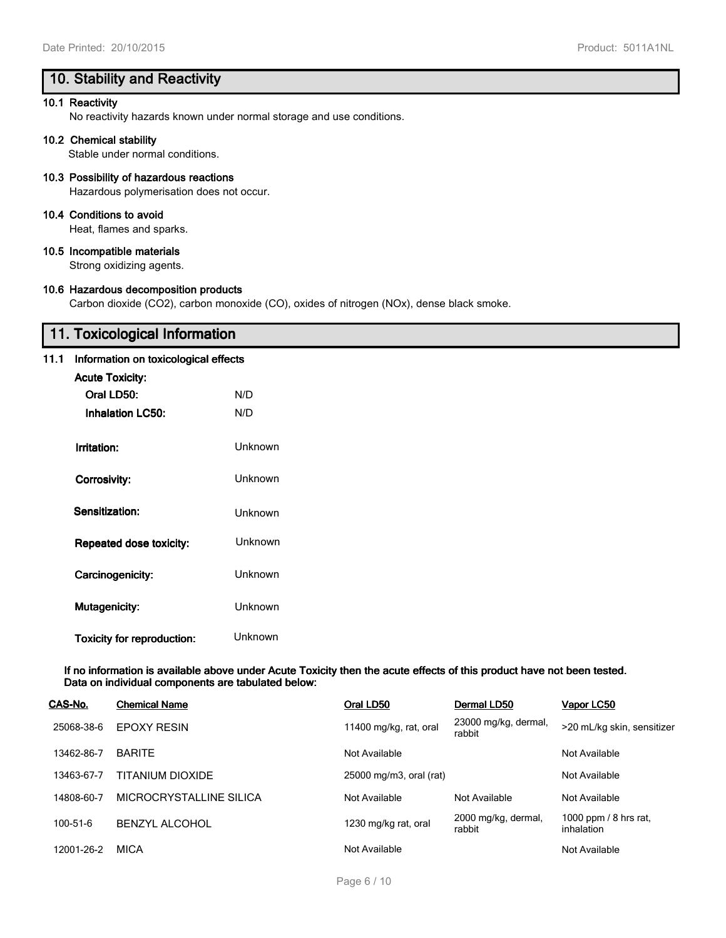# **10. Stability and Reactivity**

#### **10.1 Reactivity**

No reactivity hazards known under normal storage and use conditions.

#### **10.2 Chemical stability**

Stable under normal conditions.

## **10.3 Possibility of hazardous reactions**

Hazardous polymerisation does not occur.

## **10.4 Conditions to avoid**

Heat, flames and sparks.

## **10.5 Incompatible materials**

Strong oxidizing agents.

#### **10.6 Hazardous decomposition products**

Carbon dioxide (CO2), carbon monoxide (CO), oxides of nitrogen (NOx), dense black smoke.

# **11. Toxicological Information**

## **11.1 Information on toxicological effects**

| <b>Acute Toxicity:</b>            |         |
|-----------------------------------|---------|
| Oral LD50:                        | N/D     |
| <b>Inhalation LC50:</b>           | N/D     |
| Irritation:                       | Unknown |
| Corrosivity:                      | Unknown |
| Sensitization:                    | Unknown |
| Repeated dose toxicity:           | Unknown |
| Carcinogenicity:                  | Unknown |
| Mutagenicity:                     | Unknown |
| <b>Toxicity for reproduction:</b> | Unknown |

**If no information is available above under Acute Toxicity then the acute effects of this product have not been tested. Data on individual components are tabulated below:**

| CAS-No.        | <b>Chemical Name</b>    | Oral LD50               | Dermal LD50                    | Vapor LC50                          |
|----------------|-------------------------|-------------------------|--------------------------------|-------------------------------------|
| 25068-38-6     | <b>EPOXY RESIN</b>      | 11400 mg/kg, rat, oral  | 23000 mg/kg, dermal,<br>rabbit | >20 mL/kg skin, sensitizer          |
| 13462-86-7     | <b>BARITE</b>           | Not Available           |                                | Not Available                       |
| 13463-67-7     | TITANIUM DIOXIDE        | 25000 mg/m3, oral (rat) |                                | Not Available                       |
| 14808-60-7     | MICROCRYSTALLINE SILICA | Not Available           | Not Available                  | Not Available                       |
| $100 - 51 - 6$ | <b>BENZYL ALCOHOL</b>   | 1230 mg/kg rat, oral    | 2000 mg/kg, dermal,<br>rabbit  | 1000 ppm / 8 hrs rat,<br>inhalation |
| 12001-26-2     | MICA                    | Not Available           |                                | Not Available                       |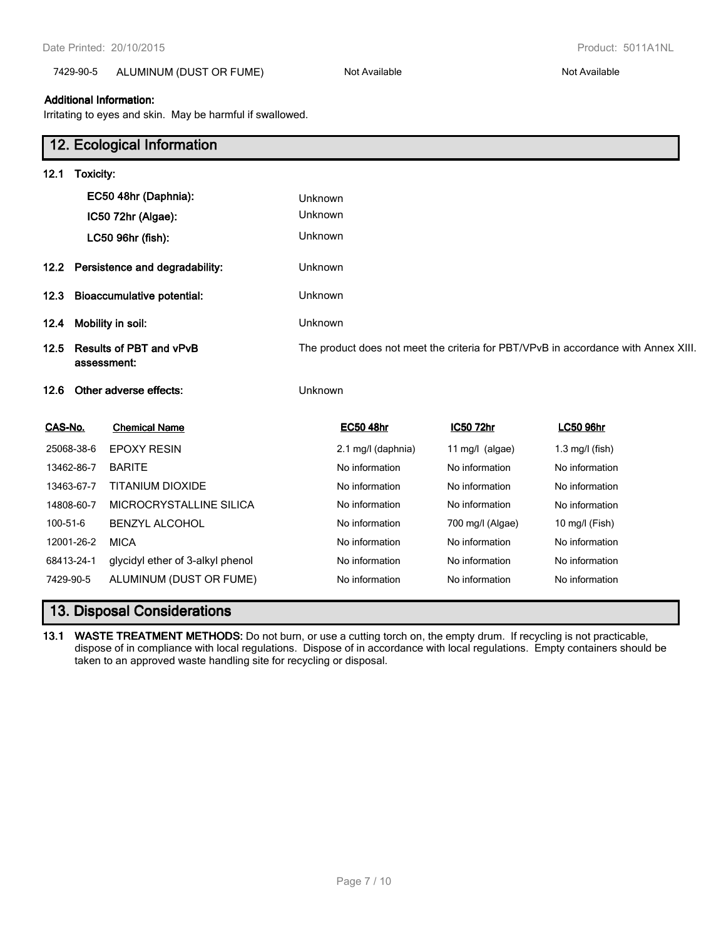## 7429-90-5 ALUMINUM (DUST OR FUME) Not Available Not Available Not Available

### **Additional Information:**

Irritating to eyes and skin. May be harmful if swallowed.

|           |            | 12. Ecological Information                    |         |                    |                  |                                                                                    |
|-----------|------------|-----------------------------------------------|---------|--------------------|------------------|------------------------------------------------------------------------------------|
| 12.1      | Toxicity:  |                                               |         |                    |                  |                                                                                    |
|           |            | EC50 48hr (Daphnia):                          | Unknown |                    |                  |                                                                                    |
|           |            | IC50 72hr (Algae):                            | Unknown |                    |                  |                                                                                    |
|           |            | LC50 96hr (fish):                             | Unknown |                    |                  |                                                                                    |
| 12.2      |            | Persistence and degradability:                | Unknown |                    |                  |                                                                                    |
| 12.3      |            | <b>Bioaccumulative potential:</b>             | Unknown |                    |                  |                                                                                    |
| 12.4      |            | Mobility in soil:                             | Unknown |                    |                  |                                                                                    |
| 12.5      |            | <b>Results of PBT and vPvB</b><br>assessment: |         |                    |                  | The product does not meet the criteria for PBT/VPvB in accordance with Annex XIII. |
| 12.6      |            | Other adverse effects:                        | Unknown |                    |                  |                                                                                    |
| CAS-No.   |            | <b>Chemical Name</b>                          |         | <b>EC50 48hr</b>   | <b>IC50 72hr</b> | <b>LC50 96hr</b>                                                                   |
|           | 25068-38-6 | <b>EPOXY RESIN</b>                            |         | 2.1 mg/l (daphnia) | 11 mg/l (algae)  | $1.3$ mg/l (fish)                                                                  |
|           | 13462-86-7 | <b>BARITE</b>                                 |         | No information     | No information   | No information                                                                     |
|           | 13463-67-7 | <b>TITANIUM DIOXIDE</b>                       |         | No information     | No information   | No information                                                                     |
|           | 14808-60-7 | MICROCRYSTALLINE SILICA                       |         | No information     | No information   | No information                                                                     |
| 100-51-6  |            | <b>BENZYL ALCOHOL</b>                         |         | No information     | 700 mg/l (Algae) | 10 mg/l (Fish)                                                                     |
|           | 12001-26-2 | <b>MICA</b>                                   |         | No information     | No information   | No information                                                                     |
|           | 68413-24-1 | glycidyl ether of 3-alkyl phenol              |         | No information     | No information   | No information                                                                     |
| 7429-90-5 |            | ALUMINUM (DUST OR FUME)                       |         | No information     | No information   | No information                                                                     |
|           |            | <b>13. Disposal Considerations</b>            |         |                    |                  |                                                                                    |

**13.1 WASTE TREATMENT METHODS:** Do not burn, or use a cutting torch on, the empty drum. If recycling is not practicable, dispose of in compliance with local regulations. Dispose of in accordance with local regulations. Empty containers should be taken to an approved waste handling site for recycling or disposal.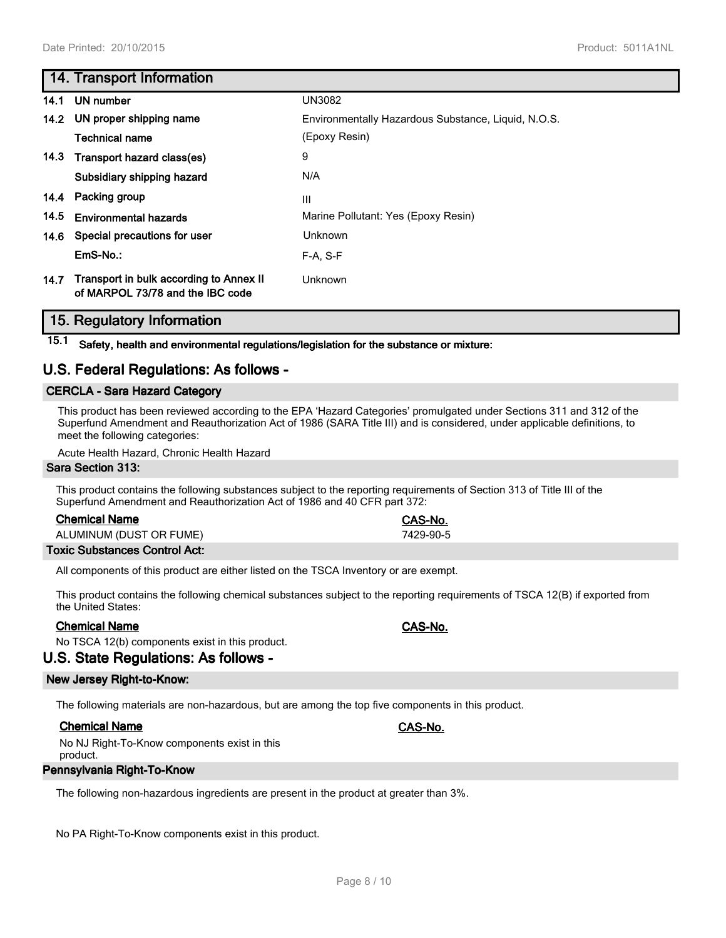## **14. Transport Information**

| 14.1 | UN number                                                                   | <b>UN3082</b>                                       |
|------|-----------------------------------------------------------------------------|-----------------------------------------------------|
| 14.2 | UN proper shipping name                                                     | Environmentally Hazardous Substance, Liquid, N.O.S. |
|      | <b>Technical name</b>                                                       | (Epoxy Resin)                                       |
| 14.3 | Transport hazard class(es)                                                  | 9                                                   |
|      | Subsidiary shipping hazard                                                  | N/A                                                 |
| 14.4 | Packing group                                                               | Ш                                                   |
| 14.5 | <b>Environmental hazards</b>                                                | Marine Pollutant: Yes (Epoxy Resin)                 |
| 14.6 | Special precautions for user                                                | Unknown                                             |
|      | $EmS-No.$ :                                                                 | $F-A. S-F$                                          |
| 14.7 | Transport in bulk according to Annex II<br>of MARPOL 73/78 and the IBC code | <b>Unknown</b>                                      |

## **15. Regulatory Information**

**15.1 Safety, health and environmental regulations/legislation for the substance or mixture:**

## **U.S. Federal Regulations: As follows -**

## **CERCLA - Sara Hazard Category**

This product has been reviewed according to the EPA 'Hazard Categories' promulgated under Sections 311 and 312 of the Superfund Amendment and Reauthorization Act of 1986 (SARA Title III) and is considered, under applicable definitions, to meet the following categories:

Acute Health Hazard, Chronic Health Hazard

#### **Sara Section 313:**

This product contains the following substances subject to the reporting requirements of Section 313 of Title III of the Superfund Amendment and Reauthorization Act of 1986 and 40 CFR part 372:

| <b>Chemical Name</b> |
|----------------------|
|----------------------|

ALUMINUM (DUST OR FUME) 7429-90-5

## **Toxic Substances Control Act:**

All components of this product are either listed on the TSCA Inventory or are exempt.

This product contains the following chemical substances subject to the reporting requirements of TSCA 12(B) if exported from the United States:

## **Chemical Name CAS-No.**

No TSCA 12(b) components exist in this product.

## **U.S. State Regulations: As follows -**

### **New Jersey Right-to-Know:**

The following materials are non-hazardous, but are among the top five components in this product.

### **Chemical Name CAS-No.**

No NJ Right-To-Know components exist in this product.

### **Pennsylvania Right-To-Know**

The following non-hazardous ingredients are present in the product at greater than 3%.

No PA Right-To-Know components exist in this product.

**Chemical Name CAS-No.**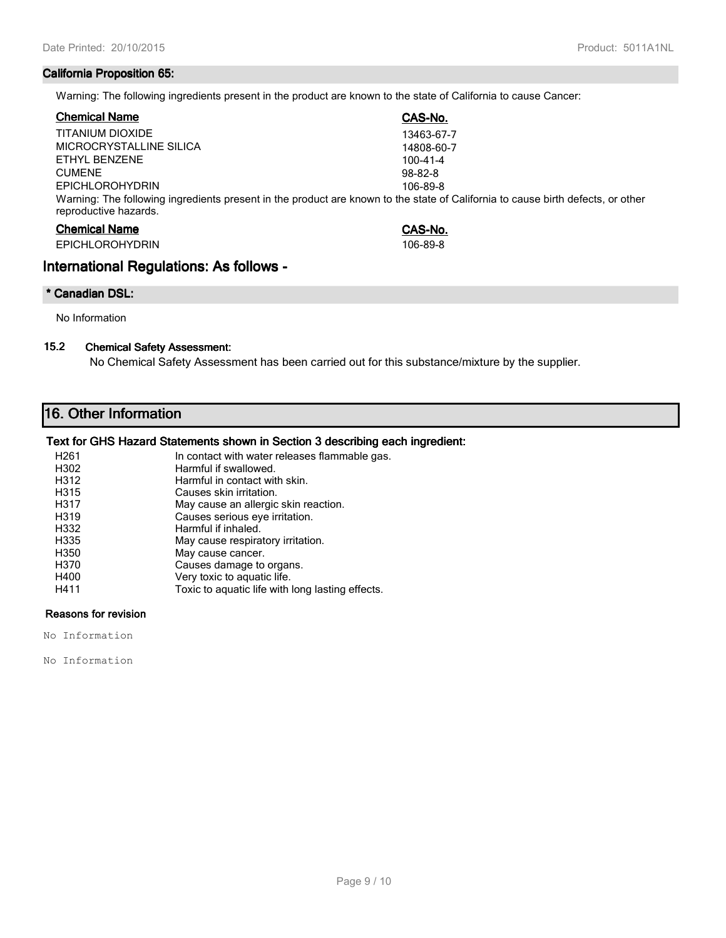## **California Proposition 65:**

Warning: The following ingredients present in the product are known to the state of California to cause Cancer:

| <b>Chemical Name</b>                                                                                                                                     | CAS-No.    |
|----------------------------------------------------------------------------------------------------------------------------------------------------------|------------|
| TITANIUM DIOXIDE                                                                                                                                         | 13463-67-7 |
| MICROCRYSTALLINE SILICA                                                                                                                                  | 14808-60-7 |
| ETHYL BENZENE                                                                                                                                            | 100-41-4   |
| <b>CUMENE</b>                                                                                                                                            | $98-82-8$  |
| <b>EPICHLOROHYDRIN</b>                                                                                                                                   | 106-89-8   |
| Warning: The following ingredients present in the product are known to the state of California to cause birth defects, or other<br>reproductive hazards. |            |
| <b>Chemical Name</b>                                                                                                                                     | CAS-No.    |

| <b>EPICHLOROHYDRIN</b> | 106-89-8 |
|------------------------|----------|

## **International Regulations: As follows -**

## **\* Canadian DSL:**

No Information

## **15.2 Chemical Safety Assessment:**

No Chemical Safety Assessment has been carried out for this substance/mixture by the supplier.

# **16. Other Information**

## **Text for GHS Hazard Statements shown in Section 3 describing each ingredient:**

| H <sub>261</sub>  | In contact with water releases flammable gas.    |
|-------------------|--------------------------------------------------|
| H302              | Harmful if swallowed.                            |
| H312              | Harmful in contact with skin.                    |
| H315              | Causes skin irritation.                          |
| H317              | May cause an allergic skin reaction.             |
| H <sub>3</sub> 19 | Causes serious eye irritation.                   |
| H332              | Harmful if inhaled.                              |
| H335              | May cause respiratory irritation.                |
| H350              | May cause cancer.                                |
| H370              | Causes damage to organs.                         |
| H400              | Very toxic to aquatic life.                      |
| H411              | Toxic to aguatic life with long lasting effects. |

## **Reasons for revision**

No Information

No Information